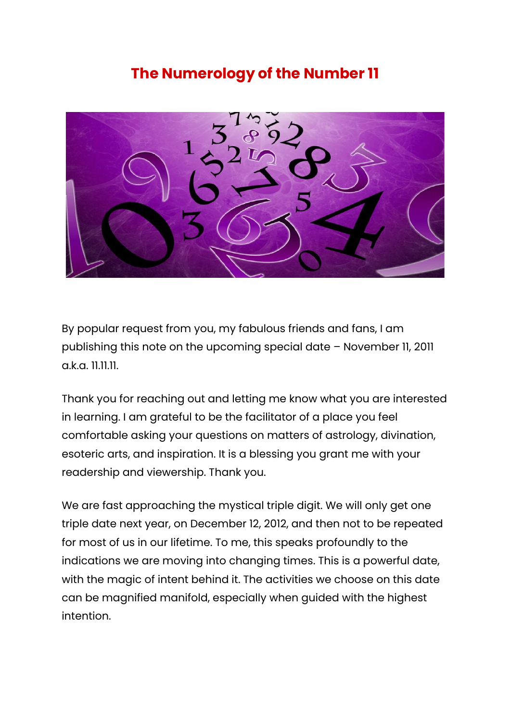## **The Numerology of the Number 11**



By popular request from you, my fabulous friends and fans, I am publishing this note on the upcoming special date – November 11, 2011 a.k.a. 11.11.11.

Thank you for reaching out and letting me know what you are interested in learning. I am grateful to be the facilitator of a place you feel comfortable asking your questions on matters of astrology, divination, esoteric arts, and inspiration. It is a blessing you grant me with your readership and viewership. Thank you.

We are fast approaching the mystical triple digit. We will only get one triple date next year, on December 12, 2012, and then not to be repeated for most of us in our lifetime. To me, this speaks profoundly to the indications we are moving into changing times. This is a powerful date, with the magic of intent behind it. The activities we choose on this date can be magnified manifold, especially when guided with the highest intention.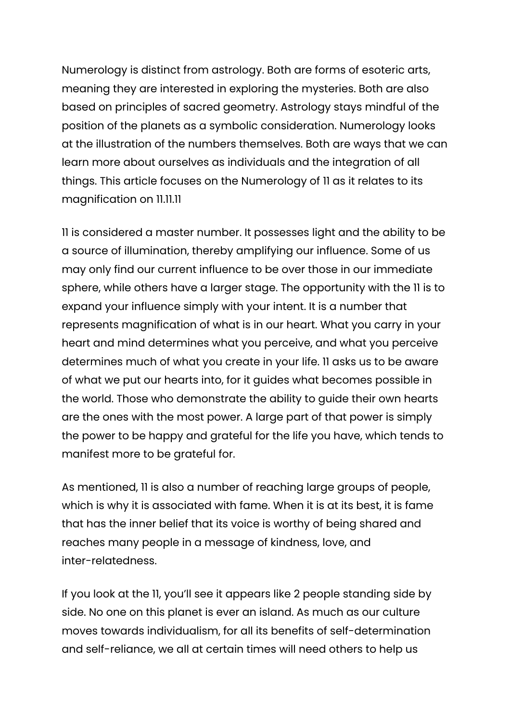Numerology is distinct from astrology. Both are forms of esoteric arts, meaning they are interested in exploring the mysteries. Both are also based on principles of sacred geometry. Astrology stays mindful of the position of the planets as a symbolic consideration. Numerology looks at the illustration of the numbers themselves. Both are ways that we can learn more about ourselves as individuals and the integration of all things. This article focuses on the Numerology of 11 as it relates to its magnification on 11.11.11

11 is considered a master number. It possesses light and the ability to be a source of illumination, thereby amplifying our influence. Some of us may only find our current influence to be over those in our immediate sphere, while others have a larger stage. The opportunity with the 11 is to expand your influence simply with your intent. It is a number that represents magnification of what is in our heart. What you carry in your heart and mind determines what you perceive, and what you perceive determines much of what you create in your life. 11 asks us to be aware of what we put our hearts into, for it guides what becomes possible in the world. Those who demonstrate the ability to guide their own hearts are the ones with the most power. A large part of that power is simply the power to be happy and grateful for the life you have, which tends to manifest more to be grateful for.

As mentioned, 11 is also a number of reaching large groups of people, which is why it is associated with fame. When it is at its best, it is fame that has the inner belief that its voice is worthy of being shared and reaches many people in a message of kindness, love, and inter-relatedness.

If you look at the 11, you'll see it appears like 2 people standing side by side. No one on this planet is ever an island. As much as our culture moves towards individualism, for all its benefits of self-determination and self-reliance, we all at certain times will need others to help us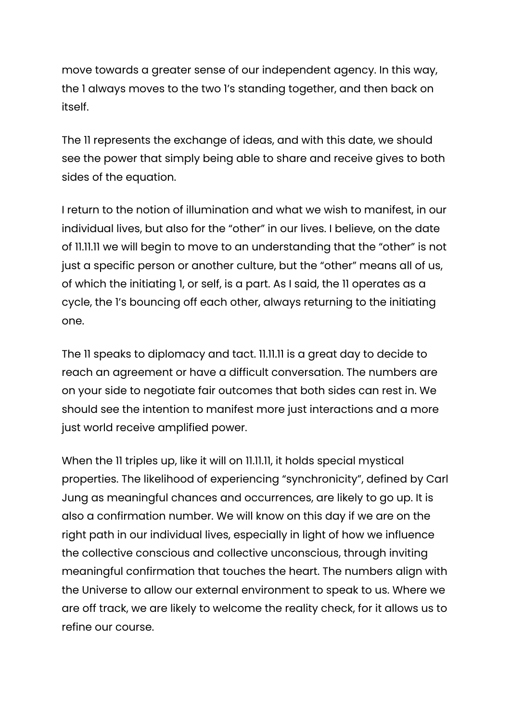move towards a greater sense of our independent agency. In this way, the 1 always moves to the two 1's standing together, and then back on itself.

The 11 represents the exchange of ideas, and with this date, we should see the power that simply being able to share and receive gives to both sides of the equation.

I return to the notion of illumination and what we wish to manifest, in our individual lives, but also for the "other" in our lives. I believe, on the date of 11.11.11 we will begin to move to an understanding that the "other" is not just a specific person or another culture, but the "other" means all of us, of which the initiating 1, or self, is a part. As I said, the 11 operates as a cycle, the 1's bouncing off each other, always returning to the initiating one.

The 11 speaks to diplomacy and tact. 11.11.11 is a great day to decide to reach an agreement or have a difficult conversation. The numbers are on your side to negotiate fair outcomes that both sides can rest in. We should see the intention to manifest more just interactions and a more just world receive amplified power.

When the 11 triples up, like it will on 11.11.11, it holds special mystical properties. The likelihood of experiencing "synchronicity", defined by Carl Jung as meaningful chances and occurrences, are likely to go up. It is also a confirmation number. We will know on this day if we are on the right path in our individual lives, especially in light of how we influence the collective conscious and collective unconscious, through inviting meaningful confirmation that touches the heart. The numbers align with the Universe to allow our external environment to speak to us. Where we are off track, we are likely to welcome the reality check, for it allows us to refine our course.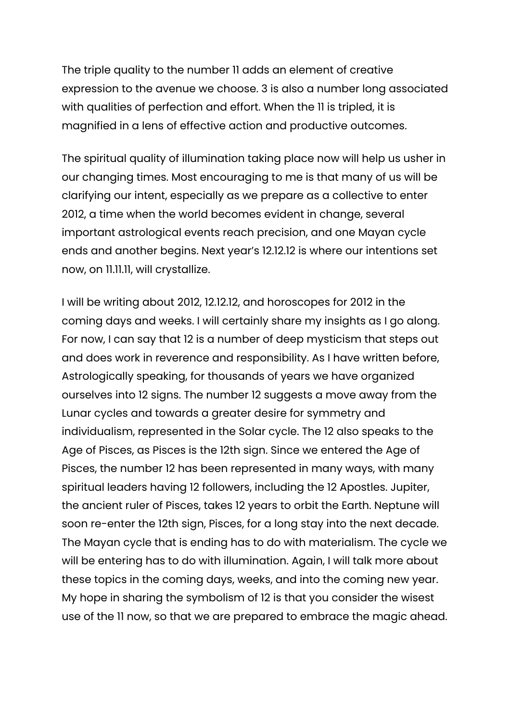The triple quality to the number 11 adds an element of creative expression to the avenue we choose. 3 is also a number long associated with qualities of perfection and effort. When the 11 is tripled, it is magnified in a lens of effective action and productive outcomes.

The spiritual quality of illumination taking place now will help us usher in our changing times. Most encouraging to me is that many of us will be clarifying our intent, especially as we prepare as a collective to enter 2012, a time when the world becomes evident in change, several important astrological events reach precision, and one Mayan cycle ends and another begins. Next year's 12.12.12 is where our intentions set now, on 11.11.11, will crystallize.

I will be writing about 2012, 12.12.12, and horoscopes for 2012 in the coming days and weeks. I will certainly share my insights as I go along. For now, I can say that 12 is a number of deep mysticism that steps out and does work in reverence and responsibility. As I have written before, Astrologically speaking, for thousands of years we have organized ourselves into 12 signs. The number 12 suggests a move away from the Lunar cycles and towards a greater desire for symmetry and individualism, represented in the Solar cycle. The 12 also speaks to the Age of Pisces, as Pisces is the 12th sign. Since we entered the Age of Pisces, the number 12 has been represented in many ways, with many spiritual leaders having 12 followers, including the 12 Apostles. Jupiter, the ancient ruler of Pisces, takes 12 years to orbit the Earth. Neptune will soon re-enter the 12th sign, Pisces, for a long stay into the next decade. The Mayan cycle that is ending has to do with materialism. The cycle we will be entering has to do with illumination. Again, I will talk more about these topics in the coming days, weeks, and into the coming new year. My hope in sharing the symbolism of 12 is that you consider the wisest use of the 11 now, so that we are prepared to embrace the magic ahead.